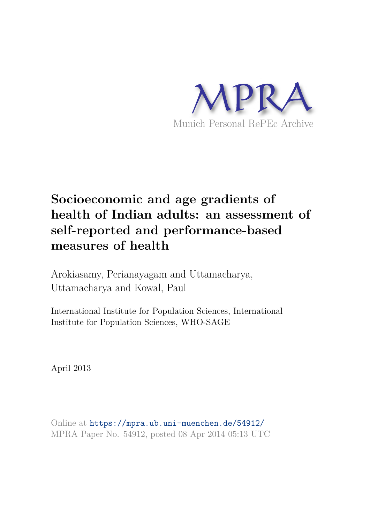

# **Socioeconomic and age gradients of health of Indian adults: an assessment of self-reported and performance-based measures of health**

Arokiasamy, Perianayagam and Uttamacharya, Uttamacharya and Kowal, Paul

International Institute for Population Sciences, International Institute for Population Sciences, WHO-SAGE

April 2013

Online at https://mpra.ub.uni-muenchen.de/54912/ MPRA Paper No. 54912, posted 08 Apr 2014 05:13 UTC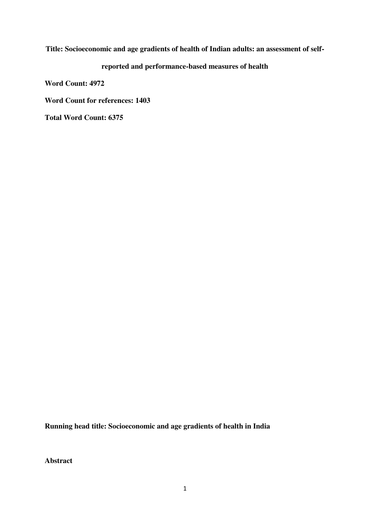### **Title: Socioeconomic and age gradients of health of Indian adults: an assessment of self-**

## **reported and performance-based measures of health**

**Word Count: 4972** 

**Word Count for references: 1403** 

**Total Word Count: 6375** 

**Running head title: Socioeconomic and age gradients of health in India** 

**Abstract**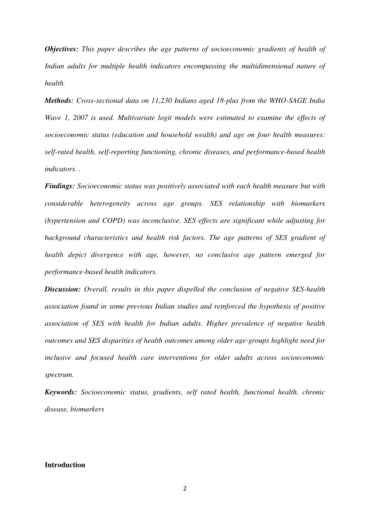*Objectives: This paper describes the age patterns of socioeconomic gradients of health of*  Indian adults for multiple health indicators encompassing the multidimensional nature of *health.* 

*Methods: Cross-sectional data on 11,230 Indians aged 18-plus from the WHO-SAGE India Wave 1, 2007 is used. Multivariate logit models were estimated to examine the effects of socioeconomic status (education and household wealth) and age on four health measures: self-rated health, self-reporting functioning, chronic diseases, and performance-based health indicators. .* 

*Findings: Socioeconomic status was positively associated with each health measure but with considerable heterogeneity across age groups. SES relationship with biomarkers (hypertension and COPD) was inconclusive. SES effects are significant while adjusting for*  background characteristics and health risk factors. The age patterns of SES gradient of *health depict divergence with age, however, no conclusive age pattern emerged for performance-based health indicators.* 

*Discussion: Overall, results in this paper dispelled the conclusion of negative SES-health association found in some previous Indian studies and reinforced the hypothesis of positive association of SES with health for Indian adults. Higher prevalence of negative health outcomes and SES disparities of health outcomes among older age-groups highlight need for inclusive and focused health care interventions for older adults across socioeconomic spectrum.* 

*Keywords: Socioeconomic status, gradients, self rated health, functional health, chronic disease, biomarkers* 

#### **Introduction**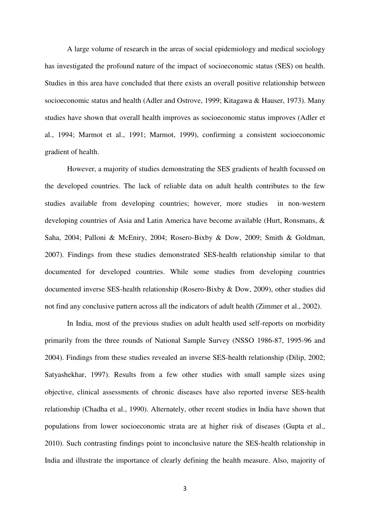A large volume of research in the areas of social epidemiology and medical sociology has investigated the profound nature of the impact of socioeconomic status (SES) on health. Studies in this area have concluded that there exists an overall positive relationship between socioeconomic status and health (Adler and Ostrove, 1999; Kitagawa & Hauser, 1973). Many studies have shown that overall health improves as socioeconomic status improves (Adler et al., 1994; Marmot et al., 1991; Marmot, 1999), confirming a consistent socioeconomic gradient of health.

However, a majority of studies demonstrating the SES gradients of health focussed on the developed countries. The lack of reliable data on adult health contributes to the few studies available from developing countries; however, more studies in non-western developing countries of Asia and Latin America have become available (Hurt, Ronsmans, & Saha, 2004; Palloni & McEniry, 2004; Rosero-Bixby & Dow, 2009; Smith & Goldman, 2007). Findings from these studies demonstrated SES-health relationship similar to that documented for developed countries. While some studies from developing countries documented inverse SES-health relationship (Rosero-Bixby & Dow, 2009), other studies did not find any conclusive pattern across all the indicators of adult health (Zimmer et al., 2002).

In India, most of the previous studies on adult health used self-reports on morbidity primarily from the three rounds of National Sample Survey (NSSO 1986-87, 1995-96 and 2004). Findings from these studies revealed an inverse SES-health relationship (Dilip, 2002; Satyashekhar, 1997). Results from a few other studies with small sample sizes using objective, clinical assessments of chronic diseases have also reported inverse SES-health relationship (Chadha et al., 1990). Alternately, other recent studies in India have shown that populations from lower socioeconomic strata are at higher risk of diseases (Gupta et al., 2010). Such contrasting findings point to inconclusive nature the SES-health relationship in India and illustrate the importance of clearly defining the health measure. Also, majority of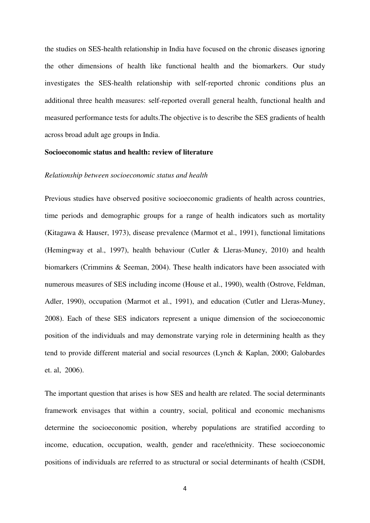the studies on SES-health relationship in India have focused on the chronic diseases ignoring the other dimensions of health like functional health and the biomarkers. Our study investigates the SES-health relationship with self-reported chronic conditions plus an additional three health measures: self-reported overall general health, functional health and measured performance tests for adults.The objective is to describe the SES gradients of health across broad adult age groups in India.

#### **Socioeconomic status and health: review of literature**

#### *Relationship between socioeconomic status and health*

Previous studies have observed positive socioeconomic gradients of health across countries, time periods and demographic groups for a range of health indicators such as mortality (Kitagawa & Hauser, 1973), disease prevalence (Marmot et al., 1991), functional limitations (Hemingway et al., 1997), health behaviour [\(Cutler & Lleras-Muney, 2010\)](http://www.ncbi.nlm.nih.gov/pmc/articles/PMC3169799/#R34) and health biomarkers (Crimmins & Seeman, 2004). These health indicators have been associated with numerous measures of SES including income (House et al., 1990), wealth (Ostrove, Feldman, Adler, 1990), occupation (Marmot et al., 1991), and education (Cutler and Lleras-Muney, 2008). Each of these SES indicators represent a unique dimension of the socioeconomic position of the individuals and may demonstrate varying role in determining health as they tend to provide different material and social resources (Lynch & Kaplan, 2000; Galobardes et. al, 2006).

The important question that arises is how SES and health are related. The social determinants framework envisages that within a country, social, political and economic mechanisms determine the socioeconomic position, whereby populations are stratified according to income, education, occupation, wealth, gender and race/ethnicity. These socioeconomic positions of individuals are referred to as structural or social determinants of health (CSDH,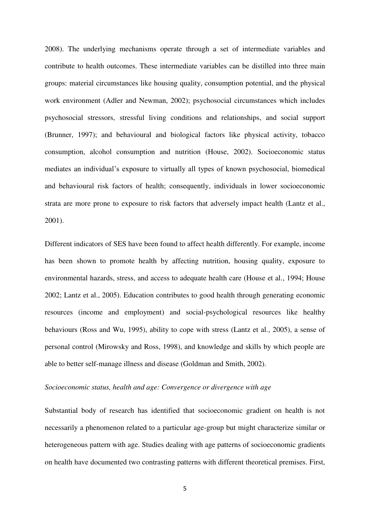2008). The underlying mechanisms operate through a set of intermediate variables and contribute to health outcomes. These intermediate variables can be distilled into three main groups: material circumstances like housing quality, consumption potential, and the physical work environment (Adler and Newman, 2002); psychosocial circumstances which includes psychosocial stressors, stressful living conditions and relationships, and social support (Brunner, 1997); and behavioural and biological factors like physical activity, tobacco consumption, alcohol consumption and nutrition (House, 2002). Socioeconomic status mediates an individual"s exposure to virtually all types of known psychosocial, biomedical and behavioural risk factors of health; consequently, individuals in lower socioeconomic strata are more prone to exposure to risk factors that adversely impact health (Lantz et al., 2001).

Different indicators of SES have been found to affect health differently. For example, income has been shown to promote health by affecting nutrition, housing quality, exposure to environmental hazards, stress, and access to adequate health care (House et al., 1994; House 2002; Lantz et al., 2005). Education contributes to good health through generating economic resources (income and employment) and social-psychological resources like healthy behaviours (Ross and Wu, 1995), ability to cope with stress (Lantz et al., 2005), a sense of personal control (Mirowsky and Ross, 1998), and knowledge and skills by which people are able to better self-manage illness and disease (Goldman and Smith, 2002).

#### *Socioeconomic status, health and age: Convergence or divergence with age*

Substantial body of research has identified that socioeconomic gradient on health is not necessarily a phenomenon related to a particular age-group but might characterize similar or heterogeneous pattern with age. Studies dealing with age patterns of socioeconomic gradients on health have documented two contrasting patterns with different theoretical premises. First,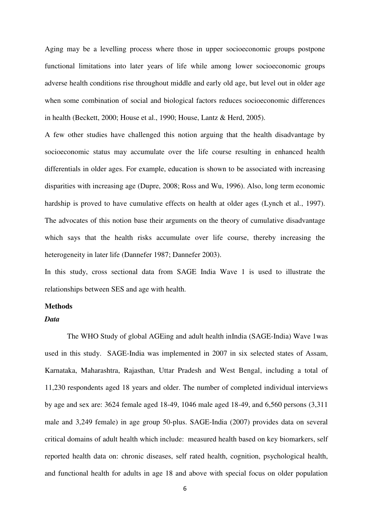Aging may be a levelling process where those in upper socioeconomic groups postpone functional limitations into later years of life while among lower socioeconomic groups adverse health conditions rise throughout middle and early old age, but level out in older age when some combination of social and biological factors reduces socioeconomic differences in health (Beckett, 2000; House et al., 1990; House, Lantz & Herd, 2005).

A few other studies have challenged this notion arguing that the health disadvantage by socioeconomic status may accumulate over the life course resulting in enhanced health differentials in older ages. For example, education is shown to be associated with increasing disparities with increasing age (Dupre, 2008; Ross and Wu, 1996). Also, long term economic hardship is proved to have cumulative effects on health at older ages (Lynch et al., 1997). The advocates of this notion base their arguments on the theory of cumulative disadvantage which says that the health risks accumulate over life course, thereby increasing the heterogeneity in later life (Dannefer 1987; Dannefer 2003).

In this study, cross sectional data from SAGE India Wave 1 is used to illustrate the relationships between SES and age with health.

#### **Methods**

#### *Data*

The WHO Study of global AGEing and adult health inIndia (SAGE-India) Wave 1was used in this study. SAGE-India was implemented in 2007 in six selected states of Assam, Karnataka, Maharashtra, Rajasthan, Uttar Pradesh and West Bengal, including a total of 11,230 respondents aged 18 years and older. The number of completed individual interviews by age and sex are: 3624 female aged 18-49, 1046 male aged 18-49, and 6,560 persons (3,311 male and 3,249 female) in age group 50-plus. SAGE-India (2007) provides data on several critical domains of adult health which include: measured health based on key biomarkers, self reported health data on: chronic diseases, self rated health, cognition, psychological health, and functional health for adults in age 18 and above with special focus on older population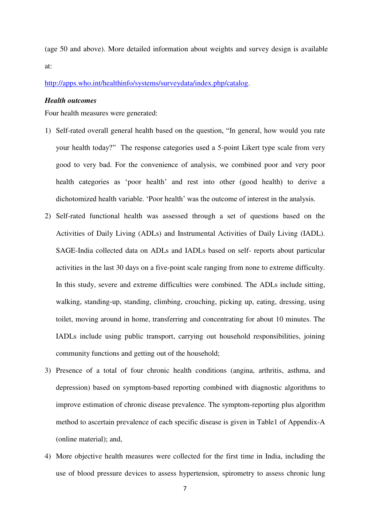(age 50 and above). More detailed information about weights and survey design is available at:

[http://apps.who.int/healthinfo/systems/surveydata/index.php/catalog.](http://apps.who.int/healthinfo/systems/surveydata/index.php/catalog)

#### *Health outcomes*

Four health measures were generated:

- 1) Self-rated overall general health based on the question, "In general, how would you rate your health today?" The response categories used a 5-point Likert type scale from very good to very bad. For the convenience of analysis, we combined poor and very poor health categories as "poor health" and rest into other (good health) to derive a dichotomized health variable. "Poor health" was the outcome of interest in the analysis.
- 2) Self-rated functional health was assessed through a set of questions based on the Activities of Daily Living (ADLs) and Instrumental Activities of Daily Living (IADL). SAGE-India collected data on ADLs and IADLs based on self- reports about particular activities in the last 30 days on a five-point scale ranging from none to extreme difficulty. In this study, severe and extreme difficulties were combined. The ADLs include sitting, walking, standing-up, standing, climbing, crouching, picking up, eating, dressing, using toilet, moving around in home, transferring and concentrating for about 10 minutes. The IADLs include using public transport, carrying out household responsibilities, joining community functions and getting out of the household;
- 3) Presence of a total of four chronic health conditions (angina, arthritis, asthma, and depression) based on symptom-based reporting combined with diagnostic algorithms to improve estimation of chronic disease prevalence. The symptom-reporting plus algorithm method to ascertain prevalence of each specific disease is given in Table1 of Appendix-A (online material); and,
- 4) More objective health measures were collected for the first time in India, including the use of blood pressure devices to assess hypertension, spirometry to assess chronic lung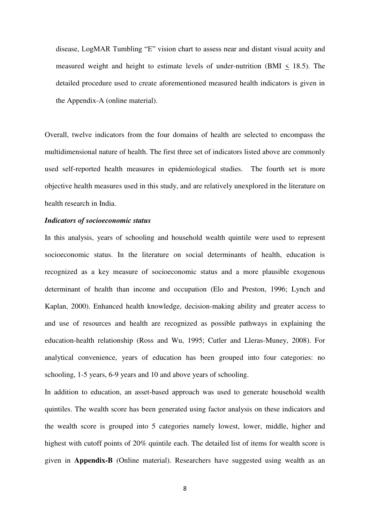disease, LogMAR Tumbling "E" vision chart to assess near and distant visual acuity and measured weight and height to estimate levels of under-nutrition (BMI  $\leq$  18.5). The detailed procedure used to create aforementioned measured health indicators is given in the Appendix-A (online material).

Overall, twelve indicators from the four domains of health are selected to encompass the multidimensional nature of health. The first three set of indicators listed above are commonly used self-reported health measures in epidemiological studies. The fourth set is more objective health measures used in this study, and are relatively unexplored in the literature on health research in India.

#### *Indicators of socioeconomic status*

In this analysis, years of schooling and household wealth quintile were used to represent socioeconomic status. In the literature on social determinants of health, education is recognized as a key measure of socioeconomic status and a more plausible exogenous determinant of health than income and occupation (Elo and Preston, 1996; Lynch and Kaplan, 2000). Enhanced health knowledge, decision-making ability and greater access to and use of resources and health are recognized as possible pathways in explaining the education-health relationship (Ross and Wu, 1995; Cutler and Lleras-Muney, 2008). For analytical convenience, years of education has been grouped into four categories: no schooling, 1-5 years, 6-9 years and 10 and above years of schooling.

In addition to education, an asset-based approach was used to generate household wealth quintiles. The wealth score has been generated using factor analysis on these indicators and the wealth score is grouped into 5 categories namely lowest, lower, middle, higher and highest with cutoff points of 20% quintile each. The detailed list of items for wealth score is given in **Appendix-B** (Online material). Researchers have suggested using wealth as an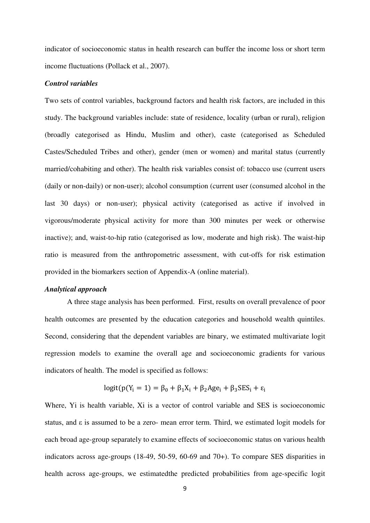indicator of socioeconomic status in health research can buffer the income loss or short term income fluctuations (Pollack et al., 2007).

#### *Control variables*

Two sets of control variables, background factors and health risk factors, are included in this study. The background variables include: state of residence, locality (urban or rural), religion (broadly categorised as Hindu, Muslim and other), caste (categorised as Scheduled Castes/Scheduled Tribes and other), gender (men or women) and marital status (currently married/cohabiting and other). The health risk variables consist of: tobacco use (current users (daily or non-daily) or non-user); alcohol consumption (current user (consumed alcohol in the last 30 days) or non-user); physical activity (categorised as active if involved in vigorous/moderate physical activity for more than 300 minutes per week or otherwise inactive); and, waist-to-hip ratio (categorised as low, moderate and high risk). The waist-hip ratio is measured from the anthropometric assessment, with cut-offs for risk estimation provided in the biomarkers section of Appendix-A (online material).

#### *Analytical approach*

A three stage analysis has been performed. First, results on overall prevalence of poor health outcomes are presented by the education categories and household wealth quintiles. Second, considering that the dependent variables are binary, we estimated multivariate logit regression models to examine the overall age and socioeconomic gradients for various indicators of health. The model is specified as follows:

 $\text{logit}(p(Y_i = 1) = \beta_0 + \beta_1 X_i + \beta_2 \text{Age}_i + \beta_3 \text{SES}_i + \varepsilon_i)$ 

Where, Yi is health variable, Xi is a vector of control variable and SES is socioeconomic status, and ε is assumed to be a zero- mean error term. Third, we estimated logit models for each broad age-group separately to examine effects of socioeconomic status on various health indicators across age-groups (18-49, 50-59, 60-69 and 70+). To compare SES disparities in health across age-groups, we estimatedthe predicted probabilities from age-specific logit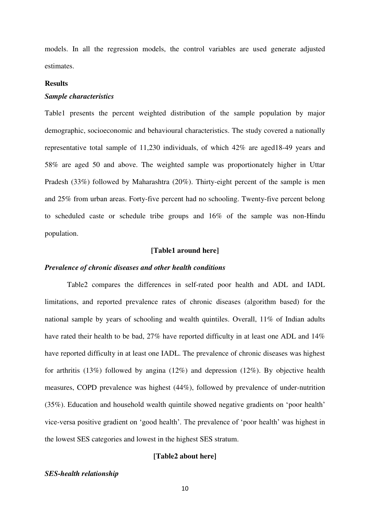models. In all the regression models, the control variables are used generate adjusted estimates.

#### **Results**

#### *Sample characteristics*

Table1 presents the percent weighted distribution of the sample population by major demographic, socioeconomic and behavioural characteristics. The study covered a nationally representative total sample of 11,230 individuals, of which 42% are aged18-49 years and 58% are aged 50 and above. The weighted sample was proportionately higher in Uttar Pradesh (33%) followed by Maharashtra (20%). Thirty-eight percent of the sample is men and 25% from urban areas. Forty-five percent had no schooling. Twenty-five percent belong to scheduled caste or schedule tribe groups and 16% of the sample was non-Hindu population.

#### **[Table1 around here]**

#### *Prevalence of chronic diseases and other health conditions*

Table2 compares the differences in self-rated poor health and ADL and IADL limitations, and reported prevalence rates of chronic diseases (algorithm based) for the national sample by years of schooling and wealth quintiles. Overall, 11% of Indian adults have rated their health to be bad, 27% have reported difficulty in at least one ADL and 14% have reported difficulty in at least one IADL. The prevalence of chronic diseases was highest for arthritis (13%) followed by angina (12%) and depression (12%). By objective health measures, COPD prevalence was highest (44%), followed by prevalence of under-nutrition (35%). Education and household wealth quintile showed negative gradients on "poor health" vice-versa positive gradient on "good health". The prevalence of "poor health" was highest in the lowest SES categories and lowest in the highest SES stratum.

#### **[Table2 about here]**

#### *SES-health relationship*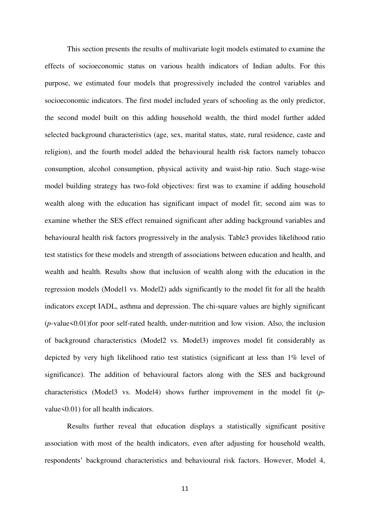This section presents the results of multivariate logit models estimated to examine the effects of socioeconomic status on various health indicators of Indian adults. For this purpose, we estimated four models that progressively included the control variables and socioeconomic indicators. The first model included years of schooling as the only predictor, the second model built on this adding household wealth, the third model further added selected background characteristics (age, sex, marital status, state, rural residence, caste and religion), and the fourth model added the behavioural health risk factors namely tobacco consumption, alcohol consumption, physical activity and waist-hip ratio. Such stage-wise model building strategy has two-fold objectives: first was to examine if adding household wealth along with the education has significant impact of model fit; second aim was to examine whether the SES effect remained significant after adding background variables and behavioural health risk factors progressively in the analysis. Table3 provides likelihood ratio test statistics for these models and strength of associations between education and health, and wealth and health. Results show that inclusion of wealth along with the education in the regression models (Model1 vs. Model2) adds significantly to the model fit for all the health indicators except IADL, asthma and depression. The chi-square values are highly significant (*p*-value<0.01)for poor self-rated health, under-nutrition and low vision. Also, the inclusion of background characteristics (Model2 vs. Model3) improves model fit considerably as depicted by very high likelihood ratio test statistics (significant at less than 1% level of significance). The addition of behavioural factors along with the SES and background characteristics (Model3 vs. Model4) shows further improvement in the model fit (*p*value<0.01) for all health indicators.

Results further reveal that education displays a statistically significant positive association with most of the health indicators, even after adjusting for household wealth, respondents" background characteristics and behavioural risk factors. However, Model 4,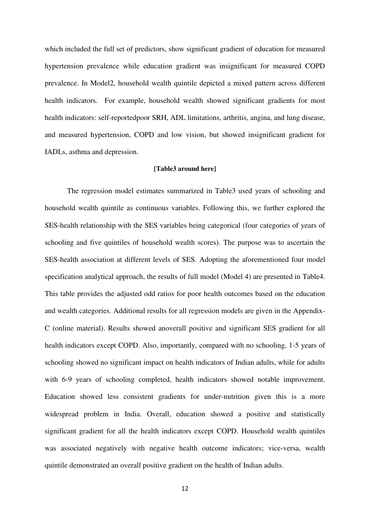which included the full set of predictors, show significant gradient of education for measured hypertension prevalence while education gradient was insignificant for measured COPD prevalence. In Model2, household wealth quintile depicted a mixed pattern across different health indicators. For example, household wealth showed significant gradients for most health indicators: self-reportedpoor SRH, ADL limitations, arthritis, angina, and lung disease, and measured hypertension, COPD and low vision, but showed insignificant gradient for IADLs, asthma and depression.

#### **[Table3 around here]**

The regression model estimates summarized in Table3 used years of schooling and household wealth quintile as continuous variables. Following this, we further explored the SES-health relationship with the SES variables being categorical (four categories of years of schooling and five quintiles of household wealth scores). The purpose was to ascertain the SES-health association at different levels of SES. Adopting the aforementioned four model specification analytical approach, the results of full model (Model 4) are presented in Table4. This table provides the adjusted odd ratios for poor health outcomes based on the education and wealth categories. Additional results for all regression models are given in the Appendix-C (online material). Results showed anoverall positive and significant SES gradient for all health indicators except COPD. Also, importantly, compared with no schooling, 1-5 years of schooling showed no significant impact on health indicators of Indian adults, while for adults with 6-9 years of schooling completed, health indicators showed notable improvement. Education showed less consistent gradients for under-nutrition given this is a more widespread problem in India. Overall, education showed a positive and statistically significant gradient for all the health indicators except COPD. Household wealth quintiles was associated negatively with negative health outcome indicators; vice-versa, wealth quintile demonstrated an overall positive gradient on the health of Indian adults.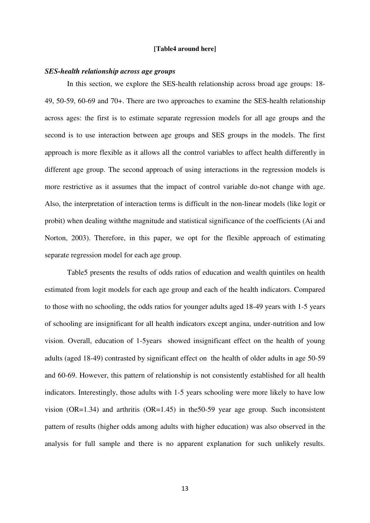#### **[Table4 around here]**

#### *SES-health relationship across age groups*

In this section, we explore the SES-health relationship across broad age groups: 18- 49, 50-59, 60-69 and 70+. There are two approaches to examine the SES-health relationship across ages: the first is to estimate separate regression models for all age groups and the second is to use interaction between age groups and SES groups in the models. The first approach is more flexible as it allows all the control variables to affect health differently in different age group. The second approach of using interactions in the regression models is more restrictive as it assumes that the impact of control variable do-not change with age. Also, the interpretation of interaction terms is difficult in the non-linear models (like logit or probit) when dealing withthe magnitude and statistical significance of the coefficients (Ai and Norton, 2003). Therefore, in this paper, we opt for the flexible approach of estimating separate regression model for each age group.

Table5 presents the results of odds ratios of education and wealth quintiles on health estimated from logit models for each age group and each of the health indicators. Compared to those with no schooling, the odds ratios for younger adults aged 18-49 years with 1-5 years of schooling are insignificant for all health indicators except angina, under-nutrition and low vision. Overall, education of 1-5years showed insignificant effect on the health of young adults (aged 18-49) contrasted by significant effect on the health of older adults in age 50-59 and 60-69. However, this pattern of relationship is not consistently established for all health indicators. Interestingly, those adults with 1-5 years schooling were more likely to have low vision (OR=1.34) and arthritis (OR=1.45) in the 50-59 year age group. Such inconsistent pattern of results (higher odds among adults with higher education) was also observed in the analysis for full sample and there is no apparent explanation for such unlikely results.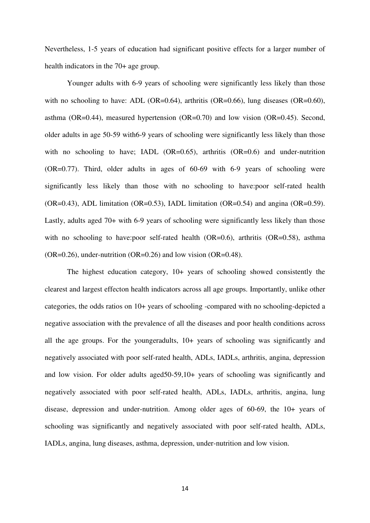Nevertheless, 1-5 years of education had significant positive effects for a larger number of health indicators in the 70+ age group.

Younger adults with 6-9 years of schooling were significantly less likely than those with no schooling to have: ADL (OR=0.64), arthritis (OR=0.66), lung diseases (OR=0.60), asthma (OR=0.44), measured hypertension (OR=0.70) and low vision (OR=0.45). Second, older adults in age 50-59 with6-9 years of schooling were significantly less likely than those with no schooling to have; IADL  $(OR=0.65)$ , arthritis  $(OR=0.6)$  and under-nutrition (OR=0.77). Third, older adults in ages of 60-69 with 6-9 years of schooling were significantly less likely than those with no schooling to have:poor self-rated health  $(OR=0.43)$ , ADL limitation  $(OR=0.53)$ , IADL limitation  $(OR=0.54)$  and angina  $(OR=0.59)$ . Lastly, adults aged 70+ with 6-9 years of schooling were significantly less likely than those with no schooling to have:poor self-rated health (OR=0.6), arthritis (OR=0.58), asthma  $(OR=0.26)$ , under-nutrition  $(OR=0.26)$  and low vision  $(OR=0.48)$ .

The highest education category, 10+ years of schooling showed consistently the clearest and largest effecton health indicators across all age groups. Importantly, unlike other categories, the odds ratios on 10+ years of schooling -compared with no schooling-depicted a negative association with the prevalence of all the diseases and poor health conditions across all the age groups. For the youngeradults, 10+ years of schooling was significantly and negatively associated with poor self-rated health, ADLs, IADLs, arthritis, angina, depression and low vision. For older adults aged50-59,10+ years of schooling was significantly and negatively associated with poor self-rated health, ADLs, IADLs, arthritis, angina, lung disease, depression and under-nutrition. Among older ages of 60-69, the 10+ years of schooling was significantly and negatively associated with poor self-rated health, ADLs, IADLs, angina, lung diseases, asthma, depression, under-nutrition and low vision.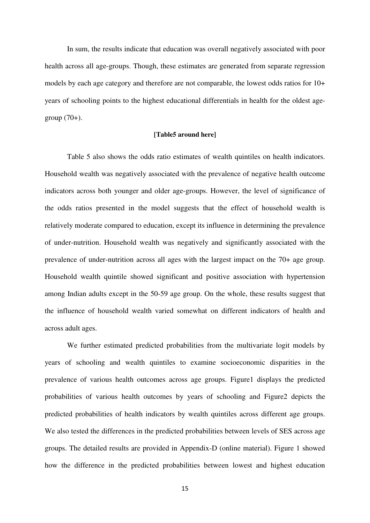In sum, the results indicate that education was overall negatively associated with poor health across all age-groups. Though, these estimates are generated from separate regression models by each age category and therefore are not comparable, the lowest odds ratios for 10+ years of schooling points to the highest educational differentials in health for the oldest agegroup  $(70+)$ .

#### **[Table5 around here]**

Table 5 also shows the odds ratio estimates of wealth quintiles on health indicators. Household wealth was negatively associated with the prevalence of negative health outcome indicators across both younger and older age-groups. However, the level of significance of the odds ratios presented in the model suggests that the effect of household wealth is relatively moderate compared to education, except its influence in determining the prevalence of under-nutrition. Household wealth was negatively and significantly associated with the prevalence of under-nutrition across all ages with the largest impact on the 70+ age group. Household wealth quintile showed significant and positive association with hypertension among Indian adults except in the 50-59 age group. On the whole, these results suggest that the influence of household wealth varied somewhat on different indicators of health and across adult ages.

We further estimated predicted probabilities from the multivariate logit models by years of schooling and wealth quintiles to examine socioeconomic disparities in the prevalence of various health outcomes across age groups. Figure1 displays the predicted probabilities of various health outcomes by years of schooling and Figure2 depicts the predicted probabilities of health indicators by wealth quintiles across different age groups. We also tested the differences in the predicted probabilities between levels of SES across age groups. The detailed results are provided in Appendix-D (online material). Figure 1 showed how the difference in the predicted probabilities between lowest and highest education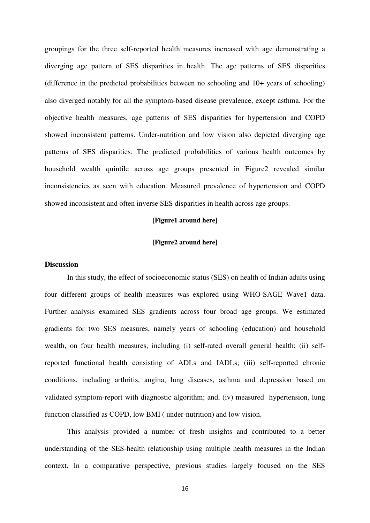groupings for the three self-reported health measures increased with age demonstrating a diverging age pattern of SES disparities in health. The age patterns of SES disparities (difference in the predicted probabilities between no schooling and 10+ years of schooling) also diverged notably for all the symptom-based disease prevalence, except asthma. For the objective health measures, age patterns of SES disparities for hypertension and COPD showed inconsistent patterns. Under-nutrition and low vision also depicted diverging age patterns of SES disparities. The predicted probabilities of various health outcomes by household wealth quintile across age groups presented in Figure2 revealed similar inconsistencies as seen with education. Measured prevalence of hypertension and COPD showed inconsistent and often inverse SES disparities in health across age groups.

#### **[Figure1 around here]**

#### **[Figure2 around here]**

#### **Discussion**

In this study, the effect of socioeconomic status (SES) on health of Indian adults using four different groups of health measures was explored using WHO-SAGE Wave1 data. Further analysis examined SES gradients across four broad age groups. We estimated gradients for two SES measures, namely years of schooling (education) and household wealth, on four health measures, including (i) self-rated overall general health; (ii) selfreported functional health consisting of ADLs and IADLs; (iii) self-reported chronic conditions, including arthritis, angina, lung diseases, asthma and depression based on validated symptom-report with diagnostic algorithm; and, (iv) measured hypertension, lung function classified as COPD, low BMI ( under-nutrition) and low vision.

This analysis provided a number of fresh insights and contributed to a better understanding of the SES-health relationship using multiple health measures in the Indian context. In a comparative perspective, previous studies largely focused on the SES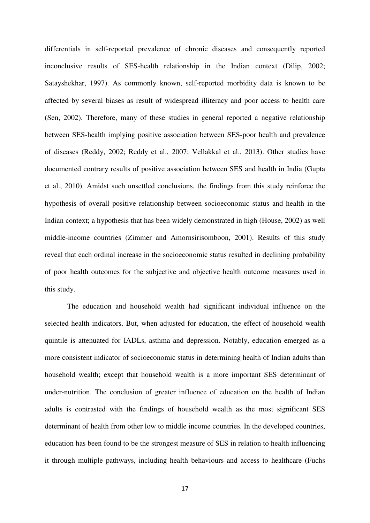differentials in self-reported prevalence of chronic diseases and consequently reported inconclusive results of SES-health relationship in the Indian context (Dilip, 2002; Satayshekhar, 1997). As commonly known, self-reported morbidity data is known to be affected by several biases as result of widespread illiteracy and poor access to health care (Sen, 2002). Therefore, many of these studies in general reported a negative relationship between SES-health implying positive association between SES-poor health and prevalence of diseases (Reddy, 2002; Reddy et al., 2007; Vellakkal et al., 2013). Other studies have documented contrary results of positive association between SES and health in India (Gupta et al., 2010). Amidst such unsettled conclusions, the findings from this study reinforce the hypothesis of overall positive relationship between socioeconomic status and health in the Indian context; a hypothesis that has been widely demonstrated in high (House, 2002) as well middle-income countries (Zimmer and Amornsirisomboon, 2001). Results of this study reveal that each ordinal increase in the socioeconomic status resulted in declining probability of poor health outcomes for the subjective and objective health outcome measures used in this study.

The education and household wealth had significant individual influence on the selected health indicators. But, when adjusted for education, the effect of household wealth quintile is attenuated for IADLs, asthma and depression. Notably, education emerged as a more consistent indicator of socioeconomic status in determining health of Indian adults than household wealth; except that household wealth is a more important SES determinant of under-nutrition. The conclusion of greater influence of education on the health of Indian adults is contrasted with the findings of household wealth as the most significant SES determinant of health from other low to middle income countries. In the developed countries, education has been found to be the strongest measure of SES in relation to health influencing it through multiple pathways, including health behaviours and access to healthcare (Fuchs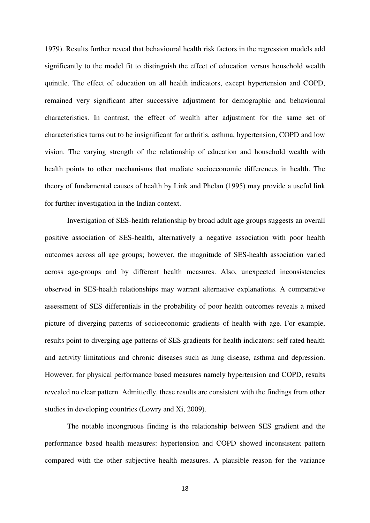1979). Results further reveal that behavioural health risk factors in the regression models add significantly to the model fit to distinguish the effect of education versus household wealth quintile. The effect of education on all health indicators, except hypertension and COPD, remained very significant after successive adjustment for demographic and behavioural characteristics. In contrast, the effect of wealth after adjustment for the same set of characteristics turns out to be insignificant for arthritis, asthma, hypertension, COPD and low vision. The varying strength of the relationship of education and household wealth with health points to other mechanisms that mediate socioeconomic differences in health. The theory of fundamental causes of health by Link and Phelan (1995) may provide a useful link for further investigation in the Indian context.

Investigation of SES-health relationship by broad adult age groups suggests an overall positive association of SES-health, alternatively a negative association with poor health outcomes across all age groups; however, the magnitude of SES-health association varied across age-groups and by different health measures. Also, unexpected inconsistencies observed in SES-health relationships may warrant alternative explanations. A comparative assessment of SES differentials in the probability of poor health outcomes reveals a mixed picture of diverging patterns of socioeconomic gradients of health with age. For example, results point to diverging age patterns of SES gradients for health indicators: self rated health and activity limitations and chronic diseases such as lung disease, asthma and depression. However, for physical performance based measures namely hypertension and COPD, results revealed no clear pattern. Admittedly, these results are consistent with the findings from other studies in developing countries (Lowry and Xi, 2009).

The notable incongruous finding is the relationship between SES gradient and the performance based health measures: hypertension and COPD showed inconsistent pattern compared with the other subjective health measures. A plausible reason for the variance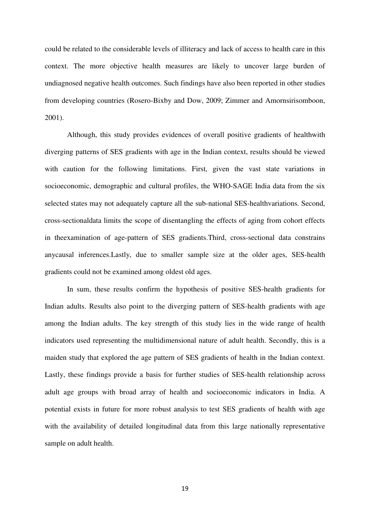could be related to the considerable levels of illiteracy and lack of access to health care in this context. The more objective health measures are likely to uncover large burden of undiagnosed negative health outcomes. Such findings have also been reported in other studies from developing countries (Rosero-Bixby and Dow, 2009; Zimmer and Amornsirisomboon, 2001).

Although, this study provides evidences of overall positive gradients of healthwith diverging patterns of SES gradients with age in the Indian context, results should be viewed with caution for the following limitations. First, given the vast state variations in socioeconomic, demographic and cultural profiles, the WHO-SAGE India data from the six selected states may not adequately capture all the sub-national SES-healthvariations. Second, cross-sectionaldata limits the scope of disentangling the effects of aging from cohort effects in theexamination of age-pattern of SES gradients.Third, cross-sectional data constrains anycausal inferences.Lastly, due to smaller sample size at the older ages, SES-health gradients could not be examined among oldest old ages.

In sum, these results confirm the hypothesis of positive SES-health gradients for Indian adults. Results also point to the diverging pattern of SES-health gradients with age among the Indian adults. The key strength of this study lies in the wide range of health indicators used representing the multidimensional nature of adult health. Secondly, this is a maiden study that explored the age pattern of SES gradients of health in the Indian context. Lastly, these findings provide a basis for further studies of SES-health relationship across adult age groups with broad array of health and socioeconomic indicators in India. A potential exists in future for more robust analysis to test SES gradients of health with age with the availability of detailed longitudinal data from this large nationally representative sample on adult health.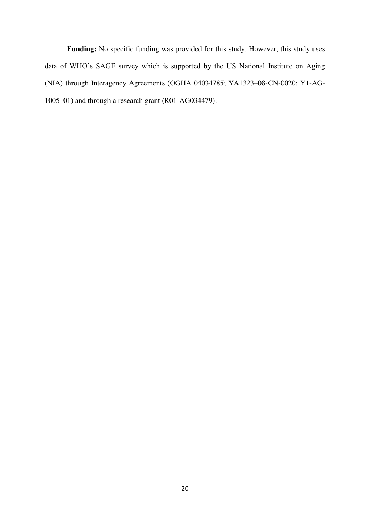**Funding:** No specific funding was provided for this study. However, this study uses data of WHO"s SAGE survey which is supported by the US National Institute on Aging (NIA) through Interagency Agreements (OGHA 04034785; YA1323–08-CN-0020; Y1-AG-1005–01) and through a research grant (R01-AG034479).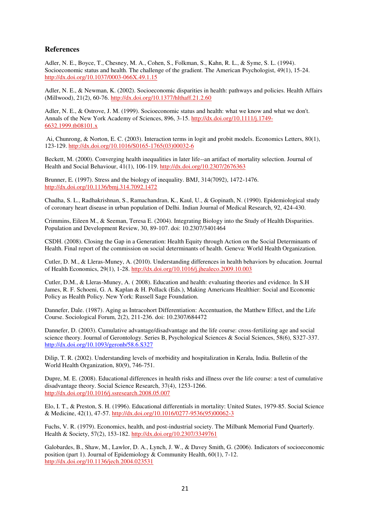#### **References**

Adler, N. E., Boyce, T., Chesney, M. A., Cohen, S., Folkman, S., Kahn, R. L., & Syme, S. L. (1994). Socioeconomic status and health. The challenge of the gradient. The American Psychologist, 49(1), 15-24. <http://dx.doi.org/10.1037/0003-066X.49.1.15>

Adler, N. E., & Newman, K. (2002). Socioeconomic disparities in health: pathways and policies. Health Affairs (Millwood), 21(2), 60-76.<http://dx.doi.org/10.1377/hlthaff.21.2.60>

Adler, N. E., & Ostrove, J. M. (1999). Socioeconomic status and health: what we know and what we don't. Annals of the New York Academy of Sciences, 896, 3-15. [http://dx.doi.org/10.1111/j.1749-](http://dx.doi.org/10.1111/j.1749-6632.1999.tb08101.x) [6632.1999.tb08101.x](http://dx.doi.org/10.1111/j.1749-6632.1999.tb08101.x)

 Ai, Chunrong, & Norton, E. C. (2003). Interaction terms in logit and probit models. Economics Letters, 80(1), 123-129. [http://dx.doi.org/10.1016/S0165-1765\(03\)00032-6](http://dx.doi.org/10.1016/S0165-1765(03)00032-6) 

Beckett, M. (2000). Converging health inequalities in later life--an artifact of mortality selection. Journal of Health and Social Behaviour, 41(1), 106-119.<http://dx.doi.org/10.2307/2676363>

Brunner, E. (1997). Stress and the biology of inequality. BMJ, 314(7092), 1472-1476. <http://dx.doi.org/10.1136/bmj.314.7092.1472>

Chadha, S. L., Radhakrishnan, S., Ramachandran, K., Kaul, U., & Gopinath, N. (1990). Epidemiological study of coronary heart disease in urban population of Delhi. Indian Journal of Medical Research, 92, 424-430.

Crimmins, Eileen M., & Seeman, Teresa E. (2004). Integrating Biology into the Study of Health Disparities. Population and Development Review, 30, 89-107. doi: 10.2307/3401464

CSDH. (2008). Closing the Gap in a Generation: Health Equity through Action on the Social Determinants of Health. Final report of the commission on social determinants of health. Geneva: World Health Organization.

Cutler, D. M., & Lleras-Muney, A. (2010). Understanding differences in health behaviors by education. Journal of Health Economics, 29(1), 1-28.<http://dx.doi.org/10.1016/j.jhealeco.2009.10.003>

Cutler, D.M., & Lleras-Muney, A. ( 2008). Education and health: evaluating theories and evidence. In S.H James, R. F. Schoeni, G. A. Kaplan & H. Pollack (Eds.), Making Americans Healthier: Social and Economic Policy as Health Policy. New York: Russell Sage Foundation.

Dannefer, Dale. (1987). Aging as Intracohort Differentiation: Accentuation, the Matthew Effect, and the Life Course. Sociological Forum, 2(2), 211-236. doi: 10.2307/684472

Dannefer, D. (2003). Cumulative advantage/disadvantage and the life course: cross-fertilizing age and social science theory. Journal of Gerontology. Series B, Psychological Sciences & Social Sciences, 58(6), S327-337. <http://dx.doi.org/10.1093/geronb/58.6.S327>

Dilip, T. R. (2002). Understanding levels of morbidity and hospitalization in Kerala, India. Bulletin of the World Health Organization, 80(9), 746-751.

Dupre, M. E. (2008). Educational differences in health risks and illness over the life course: a test of cumulative disadvantage theory. Social Science Research, 37(4), 1253-1266. <http://dx.doi.org/10.1016/j.ssresearch.2008.05.007>

Elo, I. T., & Preston, S. H. (1996). Educational differentials in mortality: United States, 1979-85. Social Science & Medicine, 42(1), 47-57. [http://dx.doi.org/10.1016/0277-9536\(95\)00062-3](http://dx.doi.org/10.1016/0277-9536(95)00062-3) 

Fuchs, V. R. (1979). Economics, health, and post-industrial society. The Milbank Memorial Fund Quarterly. Health & Society, 57(2), 153-182.<http://dx.doi.org/10.2307/3349761>

Galobardes, B., Shaw, M., Lawlor, D. A., Lynch, J. W., & Davey Smith, G. (2006). Indicators of socioeconomic position (part 1). Journal of Epidemiology & Community Health, 60(1), 7-12. <http://dx.doi.org/10.1136/jech.2004.023531>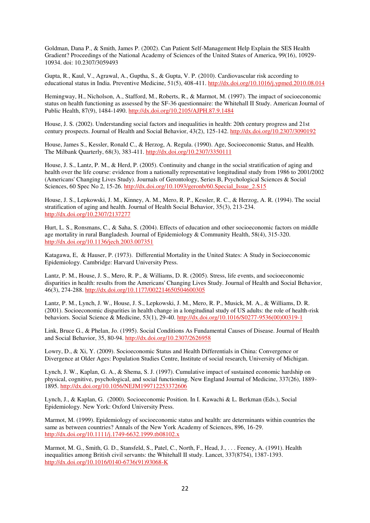Goldman, Dana P., & Smith, James P. (2002). Can Patient Self-Management Help Explain the SES Health Gradient? Proceedings of the National Academy of Sciences of the United States of America, 99(16), 10929- 10934. doi: 10.2307/3059493

Gupta, R., Kaul, V., Agrawal, A., Guptha, S., & Gupta, V. P. (2010). Cardiovascular risk according to educational status in India. Preventive Medicine, 51(5), 408-411[. http://dx.doi.org/10.1016/j.ypmed.2010.08.014](http://dx.doi.org/10.1016/j.ypmed.2010.08.014)

Hemingway, H., Nicholson, A., Stafford, M., Roberts, R., & Marmot, M. (1997). The impact of socioeconomic status on health functioning as assessed by the SF-36 questionnaire: the Whitehall II Study. American Journal of Public Health, 87(9), 1484-1490[. http://dx.doi.org/10.2105/AJPH.87.9.1484](http://dx.doi.org/10.2105/AJPH.87.9.1484) 

House, J. S. (2002). Understanding social factors and inequalities in health: 20th century progress and 21st century prospects. Journal of Health and Social Behavior, 43(2), 125-142.<http://dx.doi.org/10.2307/3090192>

House, James S., Kessler, Ronald C., & Herzog, A. Regula. (1990). Age, Socioeconomic Status, and Health. The Milbank Quarterly, 68(3), 383-411[. http://dx.doi.org/10.2307/3350111](http://dx.doi.org/10.2307/3350111) 

House, J. S., Lantz, P. M., & Herd, P. (2005). Continuity and change in the social stratification of aging and health over the life course: evidence from a nationally representative longitudinal study from 1986 to 2001/2002 (Americans' Changing Lives Study). Journals of Gerontology, Series B, Psychological Sciences & Social Sciences, 60 Spec No 2, 15-26. http://dx.doi.org/10.1093/geronb/60. Special Issue 2.S15

House, J. S., Lepkowski, J. M., Kinney, A. M., Mero, R. P., Kessler, R. C., & Herzog, A. R. (1994). The social stratification of aging and health. Journal of Health Social Behavior, 35(3), 213-234. <http://dx.doi.org/10.2307/2137277>

Hurt, L. S., Ronsmans, C., & Saha, S. (2004). Effects of education and other socioeconomic factors on middle age mortality in rural Bangladesh. Journal of Epidemiology & Community Health, 58(4), 315-320. <http://dx.doi.org/10.1136/jech.2003.007351>

Katagawa, E, & Hauser, P. (1973). Differential Mortality in the United States: A Study in Socioeconomic Epidemiology. Cambridge: Harvard University Press.

Lantz, P. M., House, J. S., Mero, R. P., & Williams, D. R. (2005). Stress, life events, and socioeconomic disparities in health: results from the Americans' Changing Lives Study. Journal of Health and Social Behavior, 46(3), 274-288.<http://dx.doi.org/10.1177/002214650504600305>

Lantz, P. M., Lynch, J. W., House, J. S., Lepkowski, J. M., Mero, R. P., Musick, M. A., & Williams, D. R. (2001). Socioeconomic disparities in health change in a longitudinal study of US adults: the role of health-risk behaviors. Social Science & Medicine, 53(1), 29-40. [http://dx.doi.org/10.1016/S0277-9536\(00\)00319-1](http://dx.doi.org/10.1016/S0277-9536(00)00319-1)

Link, Bruce G., & Phelan, Jo. (1995). Social Conditions As Fundamental Causes of Disease. Journal of Health and Social Behavior, 35, 80-94.<http://dx.doi.org/10.2307/2626958>

Lowry, D., & Xi, Y. (2009). Socioeconomic Status and Health Differentials in China: Convergence or Divergence at Older Ages: Population Studies Centre, Institute of social research, University of Michigan.

Lynch, J. W., Kaplan, G. A., & Shema, S. J. (1997). Cumulative impact of sustained economic hardship on physical, cognitive, psychological, and social functioning. New England Journal of Medicine, 337(26), 1889- 1895.<http://dx.doi.org/10.1056/NEJM199712253372606>

Lynch, J., & Kaplan, G. (2000). Socioeconomic Position. In I. Kawachi & L. Berkman (Eds.), Social Epidemiology. New York: Oxford University Press.

Marmot, M. (1999). Epidemiology of socioeconomic status and health: are determinants within countries the same as between countries? Annals of the New York Academy of Sciences, 896, 16-29. <http://dx.doi.org/10.1111/j.1749-6632.1999.tb08102.x>

Marmot, M. G., Smith, G. D., Stansfeld, S., Patel, C., North, F., Head, J., . . . Feeney, A. (1991). Health inequalities among British civil servants: the Whitehall II study. Lancet, 337(8754), 1387-1393. [http://dx.doi.org/10.1016/0140-6736\(91\)93068-K](http://dx.doi.org/10.1016/0140-6736(91)93068-K)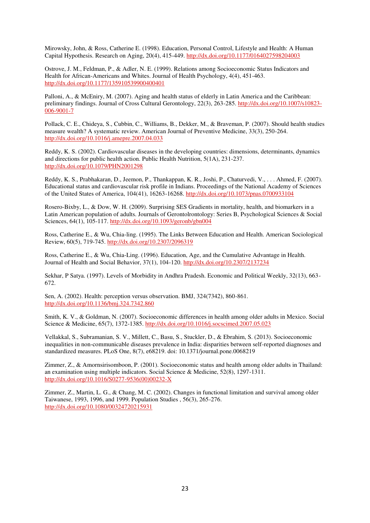Mirowsky, John, & Ross, Catherine E. (1998). Education, Personal Control, Lifestyle and Health: A Human Capital Hypothesis. Research on Aging, 20(4), 415-449.<http://dx.doi.org/10.1177/0164027598204003>

Ostrove, J. M., Feldman, P., & Adler, N. E. (1999). Relations among Socioeconomic Status Indicators and Health for African-Americans and Whites. Journal of Health Psychology, 4(4), 451-463. <http://dx.doi.org/10.1177/135910539900400401>

Palloni, A., & McEniry, M. (2007). Aging and health status of elderly in Latin America and the Caribbean: preliminary findings. Journal of Cross Cultural Gerontology, 22(3), 263-285. [http://dx.doi.org/10.1007/s10823-](http://dx.doi.org/10.1007/s10823-006-9001-7) [006-9001-7](http://dx.doi.org/10.1007/s10823-006-9001-7) 

Pollack, C. E., Chideya, S., Cubbin, C., Williams, B., Dekker, M., & Braveman, P. (2007). Should health studies measure wealth? A systematic review. American Journal of Preventive Medicine, 33(3), 250-264. <http://dx.doi.org/10.1016/j.amepre.2007.04.033>

Reddy, K. S. (2002). Cardiovascular diseases in the developing countries: dimensions, determinants, dynamics and directions for public health action. Public Health Nutrition, 5(1A), 231-237. <http://dx.doi.org/10.1079/PHN2001298>

Reddy, K. S., Prabhakaran, D., Jeemon, P., Thankappan, K. R., Joshi, P., Chaturvedi, V., . . . Ahmed, F. (2007). Educational status and cardiovascular risk profile in Indians. Proceedings of the National Academy of Sciences of the United States of America, 104(41), 16263-16268.<http://dx.doi.org/10.1073/pnas.0700933104>

Rosero-Bixby, L., & Dow, W. H. (2009). Surprising SES Gradients in mortality, health, and biomarkers in a Latin American population of adults. Journals of Gerontolrontology: Series B, Psychological Sciences & Social Sciences, 64(1), 105-117.<http://dx.doi.org/10.1093/geronb/gbn004>

Ross, Catherine E., & Wu, Chia-ling. (1995). The Links Between Education and Health. American Sociological Review, 60(5), 719-745[. http://dx.doi.org/10.2307/2096319](http://dx.doi.org/10.2307/2096319) 

Ross, Catherine E., & Wu, Chia-Ling. (1996). Education, Age, and the Cumulative Advantage in Health. Journal of Health and Social Behavior, 37(1), 104-120.<http://dx.doi.org/10.2307/2137234>

Sekhar, P Satya. (1997). Levels of Morbidity in Andhra Pradesh. Economic and Political Weekly, 32(13), 663- 672.

Sen, A. (2002). Health: perception versus observation. BMJ, 324(7342), 860-861. <http://dx.doi.org/10.1136/bmj.324.7342.860>

Smith, K. V., & Goldman, N. (2007). Socioeconomic differences in health among older adults in Mexico. Social Science & Medicine, 65(7), 1372-1385[. http://dx.doi.org/10.1016/j.socscimed.2007.05.023](http://dx.doi.org/10.1016/j.socscimed.2007.05.023) 

Vellakkal, S., Subramanian, S. V., Millett, C., Basu, S., Stuckler, D., & Ebrahim, S. (2013). Socioeconomic inequalities in non-communicable diseases prevalence in India: disparities between self-reported diagnoses and standardized measures. PLoS One, 8(7), e68219. doi: 10.1371/journal.pone.0068219

Zimmer, Z., & Amornsirisomboon, P. (2001). Socioeconomic status and health among older adults in Thailand: an examination using multiple indicators. Social Science & Medicine, 52(8), 1297-1311. [http://dx.doi.org/10.1016/S0277-9536\(00\)00232-X](http://dx.doi.org/10.1016/S0277-9536(00)00232-X) 

Zimmer, Z., Martin, L. G., & Chang, M. C. (2002). Changes in functional limitation and survival among older Taiwanese, 1993, 1996, and 1999. Population Studies , 56(3), 265-276. <http://dx.doi.org/10.1080/00324720215931>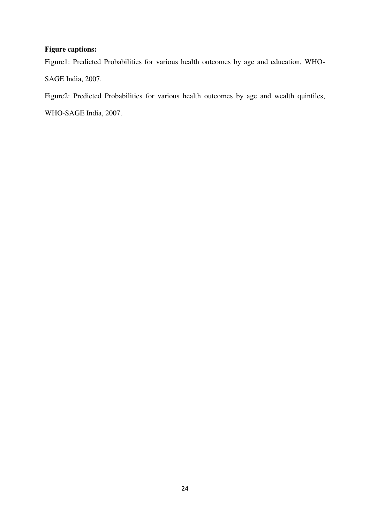## **Figure captions:**

Figure1: Predicted Probabilities for various health outcomes by age and education, WHO-SAGE India, 2007.

Figure2: Predicted Probabilities for various health outcomes by age and wealth quintiles,

WHO-SAGE India, 2007.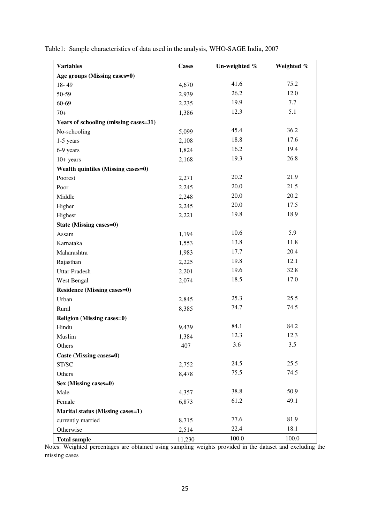| <b>Variables</b>                      | <b>Cases</b> | Un-weighted % | Weighted % |
|---------------------------------------|--------------|---------------|------------|
| Age groups (Missing cases=0)          |              |               |            |
| $18 - 49$                             | 4,670        | 41.6          | 75.2       |
| 50-59                                 | 2,939        | 26.2          | 12.0       |
| 60-69                                 | 2,235        | 19.9          | 7.7        |
| $70+$                                 | 1,386        | 12.3          | 5.1        |
| Years of schooling (missing cases=31) |              |               |            |
| No-schooling                          | 5,099        | 45.4          | 36.2       |
| $1-5$ years                           | 2,108        | 18.8          | 17.6       |
| 6-9 years                             | 1,824        | 16.2          | 19.4       |
| $10+ years$                           | 2,168        | 19.3          | 26.8       |
| Wealth quintiles (Missing cases=0)    |              |               |            |
| Poorest                               | 2,271        | 20.2          | 21.9       |
| Poor                                  | 2,245        | 20.0          | 21.5       |
| Middle                                | 2,248        | 20.0          | 20.2       |
| Higher                                | 2,245        | 20.0          | 17.5       |
| Highest                               | 2,221        | 19.8          | 18.9       |
| <b>State (Missing cases=0)</b>        |              |               |            |
| Assam                                 | 1,194        | 10.6          | 5.9        |
| Karnataka                             | 1,553        | 13.8          | 11.8       |
| Maharashtra                           | 1,983        | 17.7          | 20.4       |
| Rajasthan                             | 2,225        | 19.8          | 12.1       |
| <b>Uttar Pradesh</b>                  | 2,201        | 19.6          | 32.8       |
| West Bengal                           | 2,074        | 18.5          | 17.0       |
| <b>Residence (Missing cases=0)</b>    |              |               |            |
| Urban                                 | 2,845        | 25.3          | 25.5       |
| Rural                                 | 8,385        | 74.7          | 74.5       |
| <b>Religion (Missing cases=0)</b>     |              |               |            |
| Hindu                                 | 9,439        | 84.1          | 84.2       |
| Muslim                                | 1,384        | 12.3          | 12.3       |
| Others                                | 407          | 3.6           | 3.5        |
| Caste (Missing cases=0)               |              |               |            |
| ST/SC                                 | 2,752        | 24.5          | 25.5       |
| Others                                | 8,478        | 75.5          | 74.5       |
| Sex (Missing cases=0)                 |              |               |            |
| Male                                  | 4,357        | 38.8          | 50.9       |
| Female                                | 6,873        | 61.2          | 49.1       |
| Marital status (Missing cases=1)      |              |               |            |
| currently married                     | 8,715        | 77.6          | 81.9       |
| Otherwise                             | 2,514        | 22.4          | 18.1       |
| <b>Total sample</b>                   | 11,230       | 100.0         | 100.0      |

Table1: Sample characteristics of data used in the analysis, WHO-SAGE India, 2007

Notes: Weighted percentages are obtained using sampling weights provided in the dataset and excluding the missing cases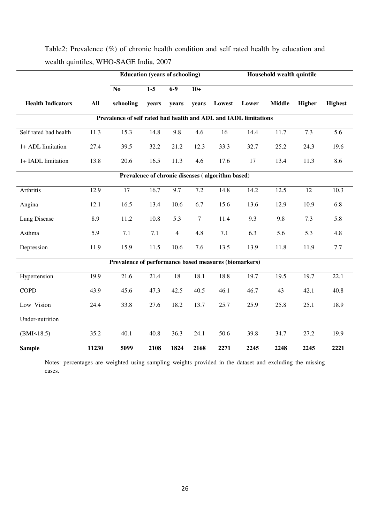|                                                  |       | <b>Education (years of schooling)</b>                            |       |                |                  | Household wealth quintile |       |               |        |                  |  |  |
|--------------------------------------------------|-------|------------------------------------------------------------------|-------|----------------|------------------|---------------------------|-------|---------------|--------|------------------|--|--|
|                                                  |       | $\overline{No}$                                                  | $1-5$ | $6 - 9$        | $10+$            |                           |       |               |        |                  |  |  |
| <b>Health Indicators</b>                         | All   | schooling                                                        | years | years          | years            | Lowest                    | Lower | <b>Middle</b> | Higher | <b>Highest</b>   |  |  |
|                                                  |       | Prevalence of self rated bad health and ADL and IADL limitations |       |                |                  |                           |       |               |        |                  |  |  |
| Self rated bad health                            | 11.3  | 15.3                                                             | 14.8  | 9.8            | $\overline{4.6}$ | $\overline{16}$           | 14.4  | 11.7          | 7.3    | $\overline{5.6}$ |  |  |
| 1+ ADL limitation                                | 27.4  | 39.5                                                             | 32.2  | 21.2           | 12.3             | 33.3                      | 32.7  | 25.2          | 24.3   | 19.6             |  |  |
| 1+ IADL limitation                               | 13.8  | 20.6                                                             | 16.5  | 11.3           | 4.6              | 17.6                      | 17    | 13.4          | 11.3   | 8.6              |  |  |
| Prevalence of chronic diseases (algorithm based) |       |                                                                  |       |                |                  |                           |       |               |        |                  |  |  |
| Arthritis                                        | 12.9  | $\overline{17}$                                                  | 16.7  | 9.7            | 7.2              | 14.8                      | 14.2  | 12.5          | 12     | 10.3             |  |  |
| Angina                                           | 12.1  | 16.5                                                             | 13.4  | 10.6           | 6.7              | 15.6                      | 13.6  | 12.9          | 10.9   | 6.8              |  |  |
| Lung Disease                                     | 8.9   | 11.2                                                             | 10.8  | 5.3            | $\tau$           | 11.4                      | 9.3   | 9.8           | 7.3    | 5.8              |  |  |
| Asthma                                           | 5.9   | 7.1                                                              | 7.1   | $\overline{4}$ | 4.8              | 7.1                       | 6.3   | 5.6           | 5.3    | 4.8              |  |  |
| Depression                                       | 11.9  | 15.9                                                             | 11.5  | 10.6           | 7.6              | 13.5                      | 13.9  | 11.8          | 11.9   | $7.7\,$          |  |  |
|                                                  |       | Prevalence of performance based measures (biomarkers)            |       |                |                  |                           |       |               |        |                  |  |  |
| Hypertension                                     | 19.9  | 21.6                                                             | 21.4  | 18             | 18.1             | 18.8                      | 19.7  | 19.5          | 19.7   | 22.1             |  |  |
| <b>COPD</b>                                      | 43.9  | 45.6                                                             | 47.3  | 42.5           | 40.5             | 46.1                      | 46.7  | 43            | 42.1   | 40.8             |  |  |
| Low Vision                                       | 24.4  | 33.8                                                             | 27.6  | 18.2           | 13.7             | 25.7                      | 25.9  | 25.8          | 25.1   | 18.9             |  |  |
| Under-nutrition                                  |       |                                                                  |       |                |                  |                           |       |               |        |                  |  |  |
| (BMI<18.5)                                       | 35.2  | 40.1                                                             | 40.8  | 36.3           | 24.1             | 50.6                      | 39.8  | 34.7          | 27.2   | 19.9             |  |  |
| <b>Sample</b>                                    | 11230 | 5099                                                             | 2108  | 1824           | 2168             | 2271                      | 2245  | 2248          | 2245   | 2221             |  |  |

## Table2: Prevalence (%) of chronic health condition and self rated health by education and wealth quintiles, WHO-SAGE India, 2007

Notes: percentages are weighted using sampling weights provided in the dataset and excluding the missing cases.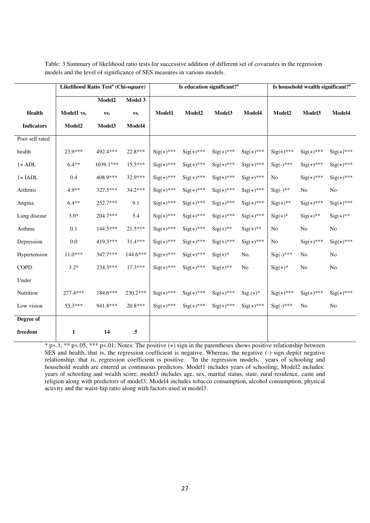|                   | Likelihood Ratio Test <sup>a</sup> (Chi-square) |           |           |              | Is education significant? <sup>a</sup> |              | Is household wealth significant? <sup>a</sup> |                    |                |               |
|-------------------|-------------------------------------------------|-----------|-----------|--------------|----------------------------------------|--------------|-----------------------------------------------|--------------------|----------------|---------------|
|                   |                                                 | Model2    | Model 3   |              |                                        |              |                                               |                    |                |               |
| Health            | Model1 vs.                                      | VS.       | VS.       | Model1       | Model2                                 | Model3       | Model4                                        | Model <sub>2</sub> | Model3         | Model4        |
| <b>Indicators</b> | Model2                                          | Model3    | Model4    |              |                                        |              |                                               |                    |                |               |
| Poor self rated   |                                                 |           |           |              |                                        |              |                                               |                    |                |               |
| health            | 23.9***                                         | 492.4 *** | 22.8***   | $Sig(+)$ *** | $Sig(+)$ ***                           | $Sig(+)$ *** | $Sig(+)$ ***                                  | $Sig(+)$ ***       | $Sig(+)$ ***   | $Sig(+)$ ***  |
| $1+ADL$           | $6.4**$                                         | 1039.1*** | 15.5***   | $Sig(+)$ *** | $Sig(+)$ ***                           | $Sig(+)$ *** | $Sig(+)***$                                   | $Sig(-)$ ***       | $Sig(+)$ ***   | $Sig(+)$ ***  |
| $1+IADL$          | 0.4                                             | 408.9***  | 32.9***   | $Sig(+)$ *** | $Sig(+)$ ***                           | $Sig(+)$ *** | $Sig(+)$ ***                                  | $\rm No$           | $Sig(+)$ ***   | $Sig(+)$ ***  |
| Arthritis         | 4.9**                                           | 327.5***  | $34.2***$ | $Sig(+)$ *** | $Sig(+)$ ***                           | $Sig(+)$ *** | $Sig(+)$ ***                                  | $Sig(-)$ **        | No             | No            |
| Angina            | $6.4**$                                         | 252.7***  | 9.1       | $Sig(+)$ *** | $Sig(+)***$                            | $Sig(+)$ *** | $Sig(+)***$                                   | $Sig(+)$ **        | $Sig(+)$ ***   | $Sig(+)$ ***  |
| Lung disease      | $3.0*$                                          | 204.7***  | 5.4       | $Sig(+)$ *** | $Sig(+)$ ***                           | $Sig(+)$ *** | $Sig(+)$ ***                                  | $Sig(+)$ *         | $Sig(+)$ **    | $Sig(+)^{**}$ |
| Asthma            | 0.1                                             | 144.5***  | $21.5***$ | $Sig(+)$ *** | $Sig(+)$ ***                           | $Sig(+)$ **  | $Sig(+)^{**}$                                 | No                 | No             | $\rm No$      |
| Depression        | 0.0                                             | 419.3***  | 31.4***   | $Sig(+)$ *** | $Sig(+)$ ***                           | $Sig(+)$ *** | $Sig(+)$ ***                                  | No                 | $Sig(+)$ ***   | $Sig(+)$ ***  |
| Hypertension      | $11.0***$                                       | 347.7***  | 144.6***  | $Sig(+)$ *** | $Sig(+)$ ***                           | $Sig(+)$ *   | No.                                           | $Sig(-)$ ***       | N <sub>o</sub> | $\rm No$      |
| <b>COPD</b>       | $3.2*$                                          | 234.3***  | $17.3***$ | $Sig(+)$ *** | $Sig(+)$ ***                           | $Sig(+)$ **  | No                                            | $Sig(+)$ *         | No             | No.           |
| Under             |                                                 |           |           |              |                                        |              |                                               |                    |                |               |
| Nutrition         | $277.4***$                                      | 184.6***  | 230.2***  | $Sig(+)$ *** | $Sig(+)***$                            | $Sig(+)$ *** | $Sig. (+)^*$                                  | $Sig(+)$ ***       | $Sig(+)$ ***   | $Sig(+)$ ***  |
| Low vision        | 55.3***                                         | 941.8***  | $20.8***$ | $Sig(+)$ *** | $Sig(+)$ ***                           | $Sig(+)$ *** | $Sig(+)$ ***                                  | $Sig(-)$ ***       | No             | No            |
| Degree of         |                                                 |           |           |              |                                        |              |                                               |                    |                |               |
| freedom           | 1                                               | 14        | 5         |              |                                        |              |                                               |                    |                |               |

Table: 3 Summary of likelihood ratio tests for successive addition of different set of covariates in the regression models and the level of significance of SES measures in various models.

\* p<.1, \*\* p<.05, \*\*\* p<.01; Notes: The positive (+) sign in the parentheses shows positive relationship between SES and health, that is, the regression coefficient is negative. Whereas, the negative (-) sign depict negative relationship, that is, regression coefficient is positive. <sup>a</sup>In the regression models, years of schooling and household wealth are entered as continuous predictors. Model1 includes years of schooling; Model2 includes: years of schooling and wealth score; model3 includes age, sex, marital status, state, rural residence, caste and religion along with predictors of model3; Model4 includes tobacco consumption, alcohol consumption, physical activity and the waist-hip ratio along with factors used in model3.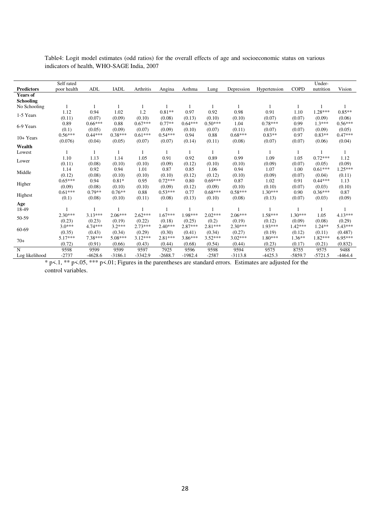|                   | Self rated  |           |             |           |           |           |           |            |              |             | Under-    |           |
|-------------------|-------------|-----------|-------------|-----------|-----------|-----------|-----------|------------|--------------|-------------|-----------|-----------|
| <b>Predictors</b> | poor health | ADL       | <b>IADL</b> | Arthritis | Angina    | Asthma    | Lung      | Depression | Hypertension | <b>COPD</b> | nutrition | Vision    |
| <b>Years of</b>   |             |           |             |           |           |           |           |            |              |             |           |           |
| Schooling         |             |           |             |           |           |           |           |            |              |             |           |           |
| No Schooling      |             |           |             |           |           |           |           |            |              |             |           |           |
| 1-5 Years         | 1.12        | 0.94      | 1.02        | 1.2       | $0.81**$  | 0.97      | 0.92      | 0.98       | 0.91         | 1.10        | $1.28***$ | $0.85**$  |
|                   | (0.11)      | (0.07)    | (0.09)      | (0.10)    | (0.08)    | (0.13)    | (0.10)    | (0.10)     | (0.07)       | (0.07)      | (0.09)    | (0.06)    |
| 6-9 Years         | 0.89        | $0.66***$ | 0.88        | $0.67***$ | $0.77**$  | $0.64***$ | $0.50***$ | 1.04       | $0.78***$    | 0.99        | $1.3***$  | $0.56***$ |
|                   | (0.1)       | (0.05)    | (0.09)      | (0.07)    | (0.09)    | (0.10)    | (0.07)    | (0.11)     | (0.07)       | (0.07)      | (0.09)    | (0.05)    |
| 10+ Years         | $0.56***$   | $0.44***$ | $0.38***$   | $0.61***$ | $0.54***$ | 0.94      | 0.88      | $0.68***$  | $0.83**$     | 0.97        | $0.83**$  | $0.47***$ |
|                   | (0.076)     | (0.04)    | (0.05)      | (0.07)    | (0.07)    | (0.14)    | (0.11)    | (0.08)     | (0.07)       | (0.07)      | (0.06)    | (0.04)    |
| Wealth            |             |           |             |           |           |           |           |            |              |             |           |           |
| Lowest            |             |           |             |           |           |           |           |            |              |             |           |           |
| Lower             | 1.10        | 1.13      | 1.14        | 1.05      | 0.91      | 0.92      | 0.89      | 0.99       | 1.09         | 1.05        | $0.72***$ | 1.12      |
|                   | (0.11)      | (0.08)    | (0.10)      | (0.10)    | (0.09)    | (0.12)    | (0.10)    | (0.10)     | (0.09)       | (0.07)      | (0.05)    | (0.09)    |
| Middle            | 1.14        | 0.92      | 0.94        | 1.01      | 0.87      | 0.85      | 1.06      | 0.94       | 1.07         | 1.00        | $0.61***$ | $1.25***$ |
|                   | (0.12)      | (0.08)    | (0.10)      | (0.10)    | (0.10)    | (0.12)    | (0.12)    | (0.10)     | (0.09)       | (0.07)      | (0.04)    | (0.11)    |
|                   | $0.65***$   | 0.94      | $0.81*$     | 0.95      | $0.72***$ | 0.80      | $0.69***$ | 0.87       | 1.02         | 0.91        | $0.44***$ | 1.13      |
| Higher            | (0.09)      | (0.08)    | (0.10)      | (0.10)    | (0.09)    | (0.12)    | (0.09)    | (0.10)     | (0.10)       | (0.07)      | (0.03)    | (0.10)    |
|                   | $0.61***$   | $0.79**$  | $0.76**$    | 0.88      | $0.53***$ | 0.77      | $0.68***$ | $0.58***$  | $1.30***$    | 0.90        | $0.36***$ | 0.87      |
| Highest           | (0.1)       | (0.08)    | (0.10)      | (0.11)    | (0.08)    | (0.13)    | (0.10)    | (0.08)     | (0.13)       | (0.07)      | (0.03)    | (0.09)    |
| Age               |             |           |             |           |           |           |           |            |              |             |           |           |
| 18-49             |             |           |             |           |           |           |           |            |              |             |           |           |
| 50-59             | $2.30***$   | $3.13***$ | $2.06***$   | $2.62***$ | $1.67***$ | 1.98***   | $2.02***$ | $2.06***$  | $1.58***$    | $1.30***$   | 1.05      | $4.13***$ |
|                   | (0.23)      | (0.23)    | (0.19)      | (0.22)    | (0.18)    | (0.25)    | (0.2)     | (0.19)     | (0.12)       | (0.09)      | (0.08)    | (0.29)    |
| 60-69             | $3.0***$    | $4.74***$ | $3.2***$    | $2.73***$ | $2.40***$ | $2.87***$ | $2.81***$ | $2.30***$  | $1.93***$    | $1.42***$   | $1.24**$  | $5.43***$ |
|                   | (0.35)      | (0.43)    | (0.34)      | (0.29)    | (0.30)    | (0.41)    | (0.34)    | (0.27)     | (0.19)       | (0.12)      | (0.11)    | (0.487)   |
| $70+$             | $5.17***$   | 7.38***   | $5.08***$   | $3.12***$ | $2.81***$ | $3.86***$ | $3.52***$ | $3.02***$  | $1.80***$    | $1.36**$    | 1.82***   | $6.95***$ |
|                   | (0.72)      | (0.91)    | (0.66)      | (0.43)    | (0.44)    | (0.68)    | (0.54)    | (0.44)     | (0.23)       | (0.17)      | (0.21)    | (0.832)   |
| N                 | 9598        | 9599      | 9599        | 9597      | 7925      | 9596      | 9598      | 9594       | 9575         | 8755        | 9575      | 9488      |
| Log likelihood    | $-2737$     | $-4628.6$ | $-3186.1$   | $-3342.9$ | $-2688.7$ | $-1982.4$ | $-2587$   | $-3113.8$  | $-4425.3$    | $-5859.7$   | $-5721.5$ | $-4464.4$ |

Table4: Logit model estimates (odd ratios) for the overall effects of age and socioeconomic status on various indicators of health, WHO-SAGE India, 2007

\* p<.1, \*\* p<.05, \*\*\* p<.01; Figures in the parentheses are standard errors. Estimates are adjusted for the control variables.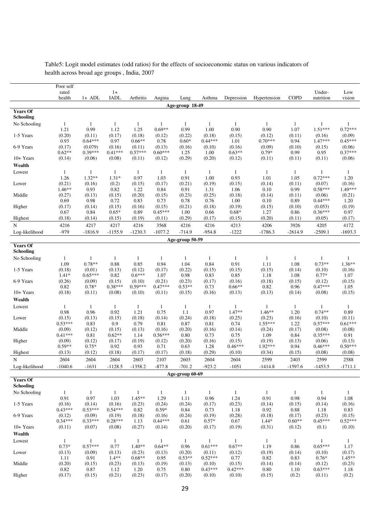|                                     | Poor self            |                      |                      |                      |                     |                      |                      |                      |                     |                      |                           |                           |
|-------------------------------------|----------------------|----------------------|----------------------|----------------------|---------------------|----------------------|----------------------|----------------------|---------------------|----------------------|---------------------------|---------------------------|
|                                     | rated                |                      | $1+$                 |                      |                     |                      |                      |                      |                     |                      | Under-                    | Low                       |
|                                     | health               | $1+$ ADL             | <b>IADL</b>          | Arthritis            | Angina              | Lung                 | Asthma               | Depression           | Hypertension        | <b>COPD</b>          | nutrition                 | vision                    |
|                                     |                      |                      |                      |                      |                     | Age-group 18-49      |                      |                      |                     |                      |                           |                           |
| <b>Years Of</b><br><b>Schooling</b> |                      |                      |                      |                      |                     |                      |                      |                      |                     |                      |                           |                           |
| No Schooling                        | $\mathbf{1}$<br>1.21 | $\mathbf{1}$<br>0.99 | $\mathbf{1}$<br>1.12 | $\mathbf{1}$<br>1.25 | -1<br>$0.69**$      | $\mathbf{1}$<br>0.99 | $\mathbf{1}$<br>1.00 | $\mathbf{1}$<br>0.90 | 1<br>0.90           | $\mathbf{1}$<br>1.07 | $\mathbf{1}$<br>$1.51***$ | $\mathbf{1}$<br>$0.72***$ |
| 1-5 Years                           | (0.20)<br>0.93       | (0.11)<br>$0.64***$  | (0.17)<br>0.97       | (0.18)<br>$0.66**$   | (0.12)<br>0.78      | (0.22)<br>$0.60*$    | (0.18)<br>$0.44***$  | (0.15)<br>1.01       | (0.12)<br>$0.70***$ | (0.11)<br>0.94       | (0.16)<br>1.47***         | (0.09)<br>$0.45***$       |
| 6-9 Years                           | (0.17)               | (0.079)<br>$0.39***$ | (0.16)               | (0.11)<br>$0.57***$  | (0.13)<br>$0.60***$ | (0.16)               | (0.10)               | (0.16)               | (0.09)              | (0.10)               | (0.15)                    | (0.06)<br>$0.37***$       |
| 10+ Years                           | $0.62**$<br>(0.14)   | (0.06)               | $0.41***$<br>(0.08)  | (0.11)               | (0.12)              | 1.25<br>(0.29)       | 1.00<br>(0.20)       | $0.63**$<br>(0.12)   | $0.79*$<br>(0.11)   | 0.99<br>(0.11)       | 0.95<br>(0.11)            | (0.06)                    |
| Wealth                              |                      |                      |                      |                      |                     |                      |                      |                      |                     |                      |                           |                           |
| Lowest                              | $\mathbf{1}$         | -1                   | 1                    | $\mathbf{1}$         | $\mathbf{1}$        | $\mathbf{1}$         | $\mathbf{1}$         | 1                    | $\mathbf{1}$        | $\mathbf{1}$         | 1                         | $\mathbf{1}$              |
|                                     | 1.26                 | $1.32**$             | $1.31*$              | 0.97                 | 1.03                | 0.91                 | 1.00                 | 0.93                 | 1.01                | 1.05                 | $0.72***$                 | 1.20                      |
| Lower                               | (0.21)               | (0.16)               | (0.2)                | (0.15)               | (0.17)              | (0.21)               | (0.19)               | (0.15)               | (0.14)              | (0.11)               | (0.07)                    | (0.16)                    |
|                                     | $1.46**$             | 0.93                 | 0.82                 | 1.22                 | 0.84                | 0.91                 | 1.31                 | 1.06                 | 0.10                | 0.99                 | $0.58***$                 | 1.49***                   |
| Middle                              | (0.27)               | (0.13)               | (0.15)               | (0.20)               | (0.15)              | (0.23)               | (0.25)               | (0.18)               | (0.14)              | (0.11)               | (0.06)                    | (0.21)                    |
|                                     | 0.69                 | 0.98                 | 0.72                 | 0.83                 | 0.73                | 0.78                 | 0.76                 | 1.00                 | 0.10                | 0.89                 | $0.44***$                 | 1.20                      |
| Higher                              | (0.17)<br>0.67       | (0.14)<br>0.84       | (0.15)<br>$0.65*$    | (0.16)<br>0.89       | (0.15)<br>$0.45***$ | (0.21)<br>1.00       | (0.18)<br>0.66       | (0.19)<br>$0.68*$    | (0.15)<br>1.27      | (0.10)<br>0.86       | (0.053)<br>$0.36***$      | (0.19)<br>0.97            |
| Highest                             | (0.18)               | (0.14)               | (0.15)               | (0.19)               | (0.11)              | (0.29)               | (0.17)               | (0.15)               | (0.20)              | (0.11)               | (0.05)                    | (0.17)                    |
| $_{\rm N}$                          | 4216                 | 4217                 | 4217                 | 4216                 | 3568                | 4216                 | 4216                 | 4213                 | 4206                | 3926                 | 4205                      | 4172                      |
| Log-likelihood                      | $-979$               | $-1816.9$            | $-1155.9$            | $-1230.3$            | $-1077.2$           | $-714.9$             | $-954.8$             | $-1222$              | $-1786.3$           | $-2614.9$            | $-2509.1$                 | $-1693.3$                 |
|                                     |                      |                      |                      |                      |                     | Age-group 50-59      |                      |                      |                     |                      |                           |                           |
| <b>Years Of</b>                     |                      |                      |                      |                      |                     |                      |                      |                      |                     |                      |                           |                           |
| Schooling                           |                      |                      |                      |                      |                     |                      |                      |                      |                     |                      |                           |                           |
| No Schooling                        | 1                    | $\mathbf{1}$         | $\mathbf{1}$         | $\mathbf{1}$         | $\mathbf{1}$        | $\mathbf{1}$         | $\mathbf{1}$         | $\mathbf{1}$         | $\mathbf{1}$        | $\mathbf{1}$         | $\mathbf{1}$              | $\mathbf{1}$              |
|                                     | 1.09                 | $0.78**$             | 0.88                 | 0.85                 | 0.94                | 1.04                 | 0.84                 | 0.91                 | 1.11                | 1.08                 | $0.73**$                  | $1.36**$                  |
| 1-5 Years                           | (0.18)               | (0.01)               | (0.13)               | (0.12)               | (0.17)              | (0.22)               | (0.15)               | (0.15)               | (0.15)              | (0.14)               | (0.10)                    | (0.16)                    |
|                                     | $1.41*$<br>(0.26)    | $0.65***$<br>(0.09)  | 0.82<br>(0.15)       | $0.6***$<br>(0.10)   | 1.07<br>(0.21)      | 0.98<br>(0.23)       | 0.83                 | 0.85<br>(0.16)       | 1.18                | 1.08                 | $0.77*$                   | 1.07                      |
| 6-9 Years                           | 0.82                 | $0.78*$              | $0.38***$            | $0.59***$            | $0.47***$           | $0.53**$             | (0.17)<br>0.73       | $0.66**$             | (0.18)<br>0.82      | (0.15)<br>0.96       | (0.12)<br>$0.47***$       | (0.15)<br>1.05            |
| 10+ Years                           | (0.18)               | (0.11)               | (0.08)               | (0.10)               | (0.11)              | (0.15)               | (0.16)               | (0.13)               | (0.13)              | (0.14)               | (0.08)                    | (0.15)                    |
| Wealth                              |                      |                      |                      |                      |                     |                      |                      |                      |                     |                      |                           |                           |
| Lowest                              | $\mathbf{1}$         | $\mathbf{1}$         | $\mathbf{1}$         | $\mathbf{1}$         | $\mathbf{1}$        | $\mathbf{1}$         | $\mathbf{1}$         | -1                   | 1                   | $\mathbf{1}$         | 1                         | 1                         |
|                                     | 0.98                 | 0.96                 | 0.92                 | 1.21                 | 0.75                | 1.1                  | 0.97                 | $1.47**$             | $1.46**$            | 1.20                 | $0.74**$                  | 0.89                      |
| Lower                               | (0.15)               | (0.13)               | (0.15)               | (0.18)               | (0.14)              | (0.24)               | (0.18)               | (0.25)               | (0.23)              | (0.16)               | (0.10)                    | (0.11)                    |
|                                     | $0.53***$            | 0.83                 | 0.9                  | 0.79                 | 0.81                | 0.87                 | 0.81                 | 0.74                 | $1.55***$           | 1.22                 | $0.57***$                 | $0.61***$                 |
| Middle                              | (0.09)<br>$0.41***$  | (0.12)<br>0.81       | (0.15)<br>$0.62**$   | (0.13)<br>1.14       | (0.16)<br>$0.56***$ | (0.20)<br>0.80       | (0.16)<br>0.73       | (0.14)<br>0.75       | (0.24)<br>1.09      | (0.17)<br>0.84       | (0.08)<br>$0.35***$       | (0.08)<br>0.91            |
| Higher                              | (0.09)               | (0.12)               | (0.17)               | (0.19)               | (0.12)              | (0.20)               | (0.16)               | (0.15)               | (0.19)              | (0.13)               | (0.06)                    | (0.13)                    |
|                                     | $0.59**$             | $0.75*$              | 0.92                 | 0.93                 | 0.71                | 0.63                 | 1.28                 | $0.46***$            | 1.92***             | 0.94                 | $0.46***$                 | $0.50***$                 |
| Highest                             | (0.13)               | (0.12)               | (0.18)               | (0.17)               | (0.17)              | (0.18)               | (0.29)               | (0.10)               | (0.34)              | (0.15)               | (0.08)                    | (0.08)                    |
| N                                   | 2604                 | 2604                 | 2604                 | 2603                 | 2107                | 2603                 | 2604                 | 2604                 | 2599                | 2403                 | 2599                      | 2588                      |
| Log-likelihood                      | $-1040.6$            | $-1631$              | $-1128.5$            | $-1358.2$            | $-877.8$            | $-701.2$             | $-923.2$             | $-1051$              | $-1414.8$           | $-1597.6$            | $-1453.5$                 | $-1711.1$                 |
|                                     |                      |                      |                      |                      |                     | Age-group 60-69      |                      |                      |                     |                      |                           |                           |
| <b>Years Of</b><br><b>Schooling</b> |                      |                      |                      |                      |                     |                      |                      |                      |                     |                      |                           |                           |
| No Schooling                        | $\mathbf{1}$         | $\mathbf{1}$         | $\mathbf{1}$         | $\mathbf{1}$         | $\mathbf{1}$        | $\mathbf{1}$         | $\mathbf{1}$         | $\mathbf{1}$         | $\mathbf{1}$        | $\mathbf{1}$         | 1                         | $\mathbf{1}$              |
|                                     | 0.91                 | 0.97                 | 1.03                 | $1.45**$             | 1.29                | 1.11                 | 0.96                 | 1.24                 | 0.91                | 0.98                 | 0.94                      | 1.08                      |
| 1-5 Years                           | (0.16)               | (0.14)               | (0.16)               | (0.23)               | (0.24)              | (0.24)               | (0.17)               | (0.23)               | (0.14)              | (0.15)               | (0.14)                    | (0.16)                    |
|                                     | $0.43***$            | $0.53***$            | $0.54***$            | 0.82                 | $0.59*$             | 0.84                 | 0.73                 | 1.18                 | 0.92                | 0.88                 | 1.18                      | 0.83                      |
| 6-9 Years                           | (0.12)<br>$0.34***$  | (0.09)<br>$0.33***$  | (0.19)<br>$0.28***$  | (0.18)<br>1.13       | (0.16)<br>$0.44***$ | (0.24)<br>0.61       | (0.19)<br>$0.57*$    | (0.28)<br>0.67       | (0.18)<br>$1.44*$   | (0.17)<br>$0.60**$   | (0.23)<br>$0.45***$       | (0.15)<br>$0.52***$       |
| 10+ Years                           | (0.11)               | (0.07)               | (0.08)               | (0.27)               | (0.14)              | (0.20)               | (0.17)               | (0.19)               | (0.31)              | (0.12)               | (0.1)                     | (0.10)                    |
| Wealth                              |                      |                      |                      |                      |                     |                      |                      |                      |                     |                      |                           |                           |
| Lowest                              | $\mathbf{1}$         | $\mathbf{1}$         | $\mathbf{1}$         | $\mathbf{1}$         | $\mathbf{1}$        | $\mathbf{1}$         | $\mathbf{1}$         | $\mathbf{1}$         | $\mathbf{1}$        | $\mathbf{1}$         | $\mathbf{1}$              | $\mathbf{1}$              |
|                                     | $0.73*$              | $0.57***$            | 0.77                 | $1.40**$             | $0.64**$            | 0.96                 | $0.61***$            | $0.67**$             | 1.19                | 0.86                 | $0.65***$                 | 1.17                      |
| Lower                               | (0.13)               | (0.09)               | (0.13)               | (0.23)               | (0.13)              | (0.20)               | (0.11)               | (0.12)               | (0.19)              | (0.14)               | (0.10)                    | (0.17)                    |
|                                     | 1.11                 | 0.91                 | $1.4**$              | $0.68**$             | 0.95                | $0.53**$             | $0.52***$            | 0.77                 | 0.82                | 0.83                 | $0.76*$                   | $1.45**$                  |
| Middle                              | (0.20)               | (0.15)               | (0.23)               | (0.13)               | (0.19)              | (0.13)<br>0.80       | (0.10)<br>$0.43***$  | (0.15)<br>$0.42***$  | (0.14)              | (0.14)               | (0.12)<br>$0.63***$       | (0.23)<br>1.18            |
| Higher                              | 0.82<br>(0.17)       | 0.87<br>(0.15)       | 1.12<br>(0.21)       | 1.20<br>(0.23)       | 0.75<br>(0.17)      | (0.20)               | (0.10)               | (0.10)               | $0.80\,$<br>(0.15)  | 1.10<br>(0.2)        | (0.11)                    | (0.2)                     |
|                                     |                      |                      |                      |                      |                     |                      |                      |                      |                     |                      |                           |                           |

Table5: Logit model estimates (odd ratios) for the effects of socioeconomic status on various indicators of health across broad age groups , India, 2007